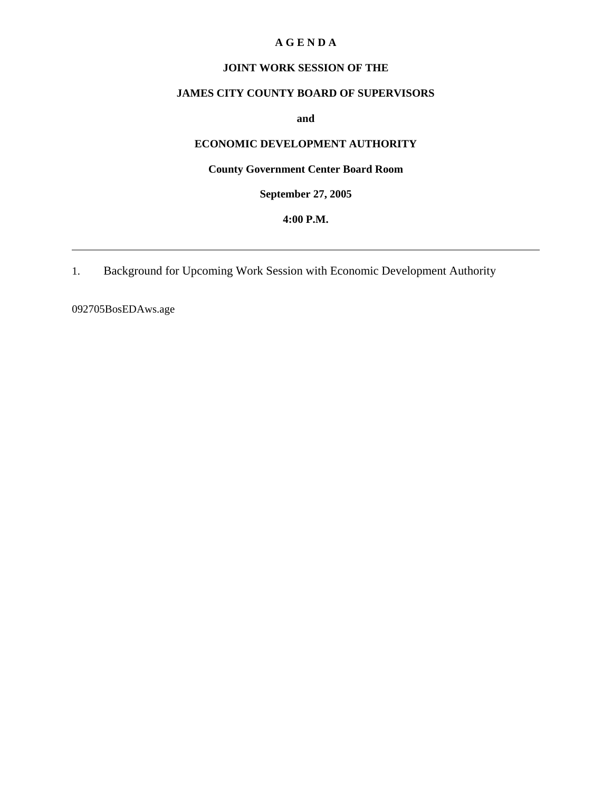#### **A G E N D A**

## **JOINT WORK SESSION OF THE**

# **JAMES CITY COUNTY BOARD OF SUPERVISORS**

**and** 

# **ECONOMIC DEVELOPMENT AUTHORITY**

# **County Government Center Board Room**

**September 27, 2005**

#### **4:00 P.M.**

1. Background for Upcoming Work Session with Economic Development Authority

092705BosEDAws.age

 $\overline{a}$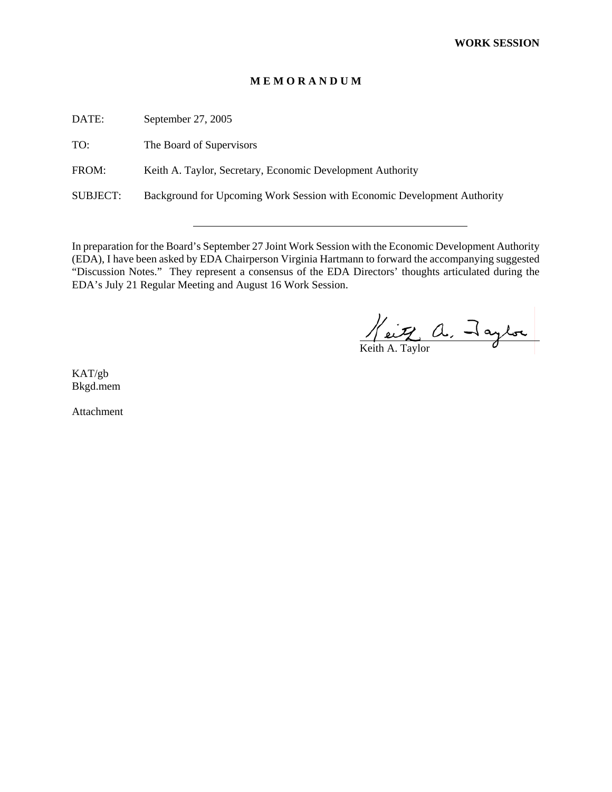#### **M E M O R A N D U M**

DATE: September 27, 2005

TO: The Board of Supervisors

FROM: Keith A. Taylor, Secretary, Economic Development Authority

SUBJECT: Background for Upcoming Work Session with Economic Development Authority

In preparation for the Board's September 27 Joint Work Session with the Economic Development Authority (EDA), I have been asked by EDA Chairperson Virginia Hartmann to forward the accompanying suggested "Discussion Notes." They represent a consensus of the EDA Directors' thoughts articulated during the EDA's July 21 Regular Meeting and August 16 Work Session.

Keith A. Taylor

 $\overline{a}$ 

KAT/gb Bkgd.mem

Attachment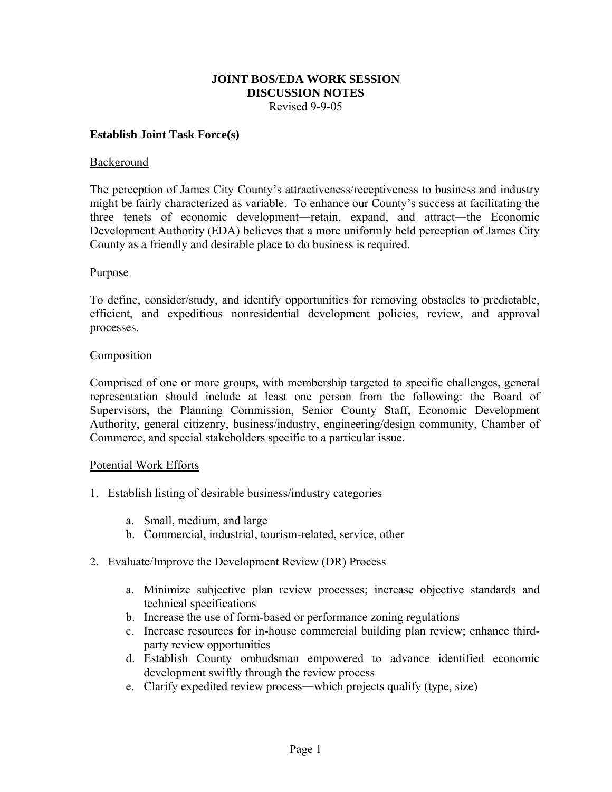## **JOINT BOS/EDA WORK SESSION DISCUSSION NOTES**  Revised 9-9-05

#### **Establish Joint Task Force(s)**

#### Background

The perception of James City County's attractiveness/receptiveness to business and industry might be fairly characterized as variable. To enhance our County's success at facilitating the three tenets of economic development―retain, expand, and attract―the Economic Development Authority (EDA) believes that a more uniformly held perception of James City County as a friendly and desirable place to do business is required.

## Purpose

To define, consider/study, and identify opportunities for removing obstacles to predictable, efficient, and expeditious nonresidential development policies, review, and approval processes.

## **Composition**

Comprised of one or more groups, with membership targeted to specific challenges, general representation should include at least one person from the following: the Board of Supervisors, the Planning Commission, Senior County Staff, Economic Development Authority, general citizenry, business/industry, engineering/design community, Chamber of Commerce, and special stakeholders specific to a particular issue.

#### Potential Work Efforts

- 1. Establish listing of desirable business/industry categories
	- a. Small, medium, and large
	- b. Commercial, industrial, tourism-related, service, other
- 2. Evaluate/Improve the Development Review (DR) Process
	- a. Minimize subjective plan review processes; increase objective standards and technical specifications
	- b. Increase the use of form-based or performance zoning regulations
	- c. Increase resources for in-house commercial building plan review; enhance thirdparty review opportunities
	- d. Establish County ombudsman empowered to advance identified economic development swiftly through the review process
	- e. Clarify expedited review process―which projects qualify (type, size)